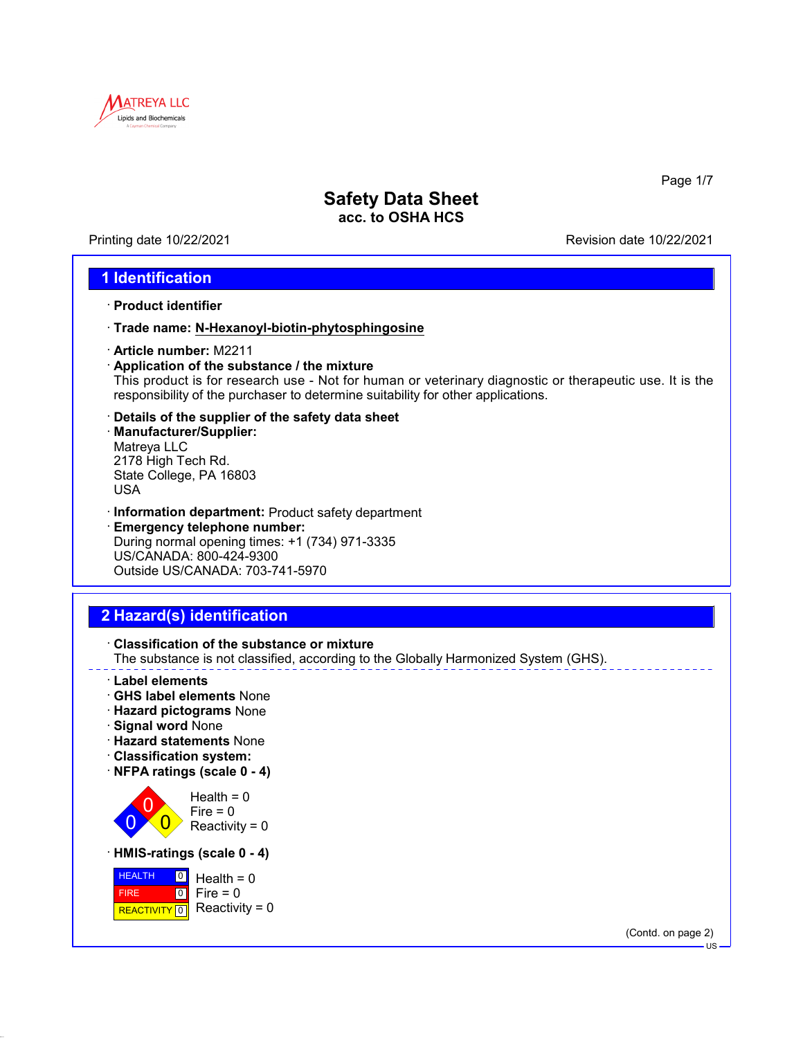

Printing date 10/22/2021 Revision date 10/22/2021

Page 1/7

### **1 Identification**

- · **Product identifier**
- · **Trade name: N-Hexanoyl-biotin-phytosphingosine**
- · **Article number:** M2211
- · **Application of the substance / the mixture** This product is for research use - Not for human or veterinary diagnostic or therapeutic use. It is the responsibility of the purchaser to determine suitability for other applications.
- · **Details of the supplier of the safety data sheet** · **Manufacturer/Supplier:** Matreya LLC 2178 High Tech Rd. State College, PA 16803 USA
- · **Information department:** Product safety department
- · **Emergency telephone number:** During normal opening times: +1 (734) 971-3335 US/CANADA: 800-424-9300 Outside US/CANADA: 703-741-5970

# **2 Hazard(s) identification**



(Contd. on page 2)

US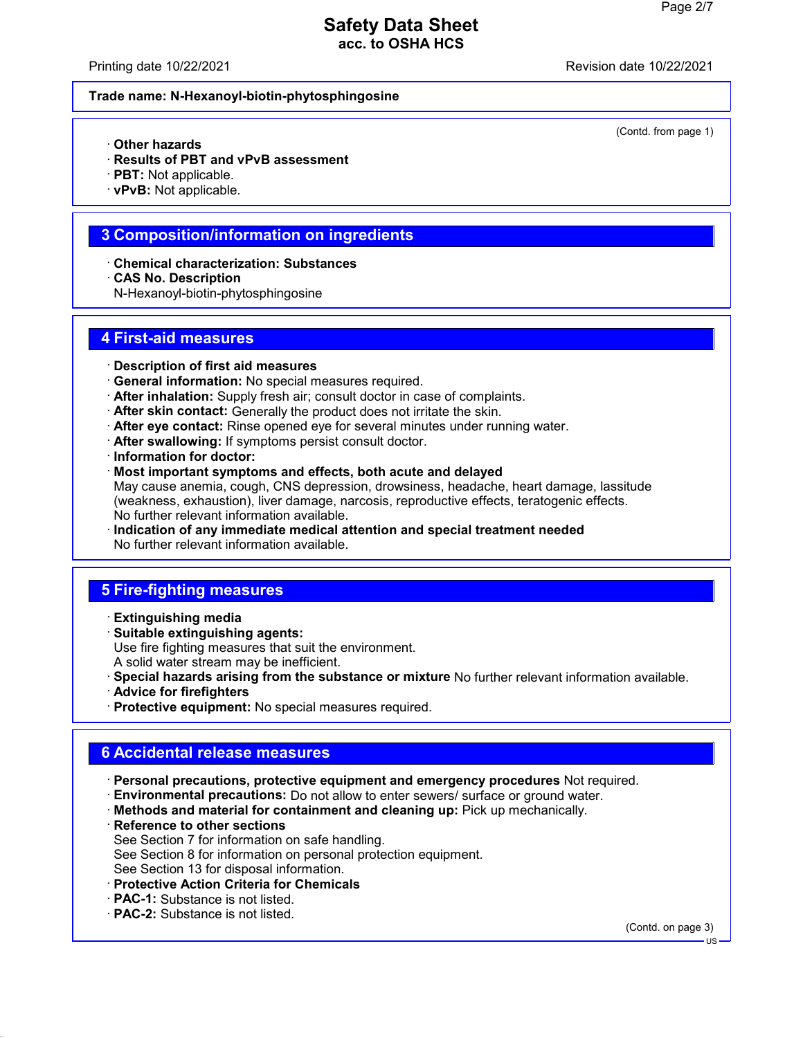Printing date 10/22/2021 Revision date 10/22/2021

(Contd. from page 1)

#### **Trade name: N-Hexanoyl-biotin-phytosphingosine**

- · **Other hazards**
- · **Results of PBT and vPvB assessment**
- · **PBT:** Not applicable.
- · **vPvB:** Not applicable.

#### **3 Composition/information on ingredients**

- · **Chemical characterization: Substances**
- · **CAS No. Description**
- N-Hexanoyl-biotin-phytosphingosine

#### **4 First-aid measures**

- · **Description of first aid measures**
- · **General information:** No special measures required.
- · **After inhalation:** Supply fresh air; consult doctor in case of complaints.
- · **After skin contact:** Generally the product does not irritate the skin.
- · **After eye contact:** Rinse opened eye for several minutes under running water.
- · **After swallowing:** If symptoms persist consult doctor.
- · **Information for doctor:**
- · **Most important symptoms and effects, both acute and delayed** May cause anemia, cough, CNS depression, drowsiness, headache, heart damage, lassitude (weakness, exhaustion), liver damage, narcosis, reproductive effects, teratogenic effects. No further relevant information available.
- · **Indication of any immediate medical attention and special treatment needed** No further relevant information available.

### **5 Fire-fighting measures**

- · **Extinguishing media**
- · **Suitable extinguishing agents:** Use fire fighting measures that suit the environment. A solid water stream may be inefficient.
- · **Special hazards arising from the substance or mixture** No further relevant information available.
- · **Advice for firefighters**
- · **Protective equipment:** No special measures required.

# **6 Accidental release measures**

- · **Personal precautions, protective equipment and emergency procedures** Not required.
- · **Environmental precautions:** Do not allow to enter sewers/ surface or ground water.
- · **Methods and material for containment and cleaning up:** Pick up mechanically.
- · **Reference to other sections** See Section 7 for information on safe handling. See Section 8 for information on personal protection equipment. See Section 13 for disposal information.
- · **Protective Action Criteria for Chemicals**
- · **PAC-1:** Substance is not listed.
- · **PAC-2:** Substance is not listed.

(Contd. on page 3)

US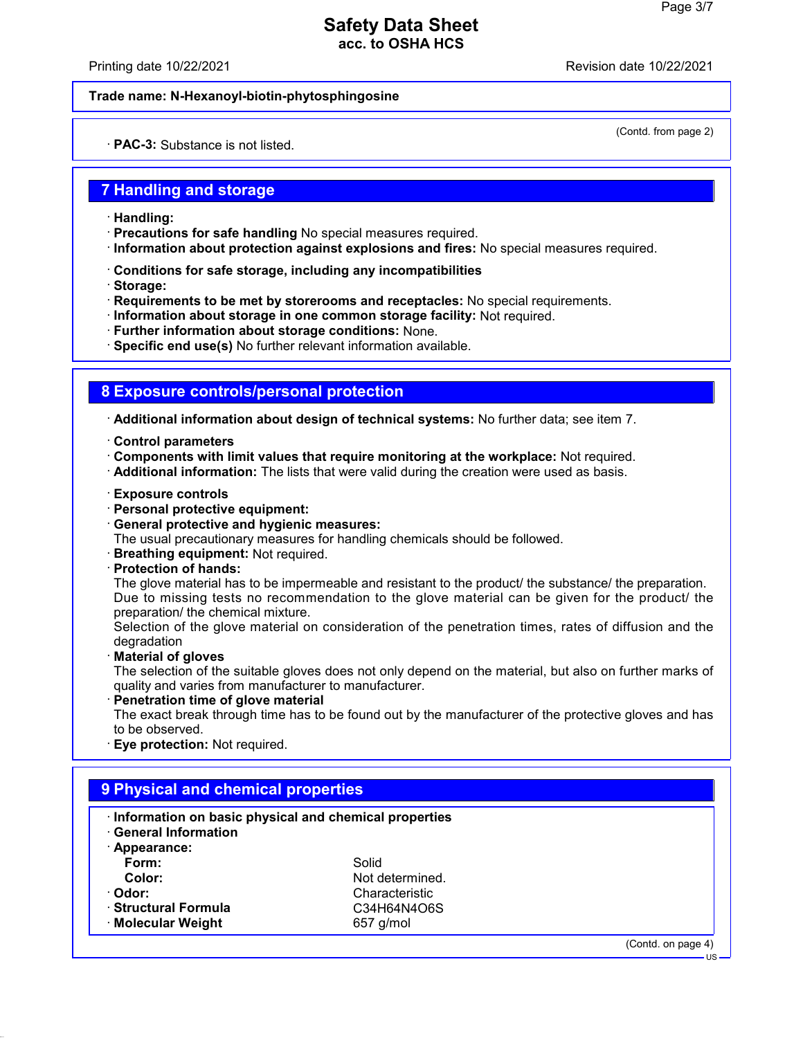Printing date 10/22/2021 Revision date 10/22/2021

(Contd. from page 2)

#### **Trade name: N-Hexanoyl-biotin-phytosphingosine**

· **PAC-3:** Substance is not listed.

### **7 Handling and storage**

- · **Handling:**
- · **Precautions for safe handling** No special measures required.
- · **Information about protection against explosions and fires:** No special measures required.
- · **Conditions for safe storage, including any incompatibilities**
- · **Storage:**
- · **Requirements to be met by storerooms and receptacles:** No special requirements.
- · **Information about storage in one common storage facility:** Not required.
- · **Further information about storage conditions:** None.
- · **Specific end use(s)** No further relevant information available.

### **8 Exposure controls/personal protection**

· **Additional information about design of technical systems:** No further data; see item 7.

- · **Control parameters**
- · **Components with limit values that require monitoring at the workplace:** Not required.
- · **Additional information:** The lists that were valid during the creation were used as basis.
- · **Exposure controls**
- · **Personal protective equipment:**
- · **General protective and hygienic measures:**
- The usual precautionary measures for handling chemicals should be followed.
- · **Breathing equipment:** Not required.
- · **Protection of hands:**

The glove material has to be impermeable and resistant to the product/ the substance/ the preparation. Due to missing tests no recommendation to the glove material can be given for the product/ the preparation/ the chemical mixture.

Selection of the glove material on consideration of the penetration times, rates of diffusion and the degradation

· **Material of gloves**

The selection of the suitable gloves does not only depend on the material, but also on further marks of quality and varies from manufacturer to manufacturer.

· **Penetration time of glove material**

The exact break through time has to be found out by the manufacturer of the protective gloves and has to be observed.

· **Eye protection:** Not required.

| Information on basic physical and chemical properties<br><b>General Information</b> |                 |  |
|-------------------------------------------------------------------------------------|-----------------|--|
| · Appearance:                                                                       |                 |  |
| Form:                                                                               | Solid           |  |
| Color:                                                                              | Not determined. |  |
| · Odor:                                                                             | Characteristic  |  |
| · Structural Formula                                                                | C34H64N4O6S     |  |
| ⋅ Molecular Weight                                                                  | $657$ g/mol     |  |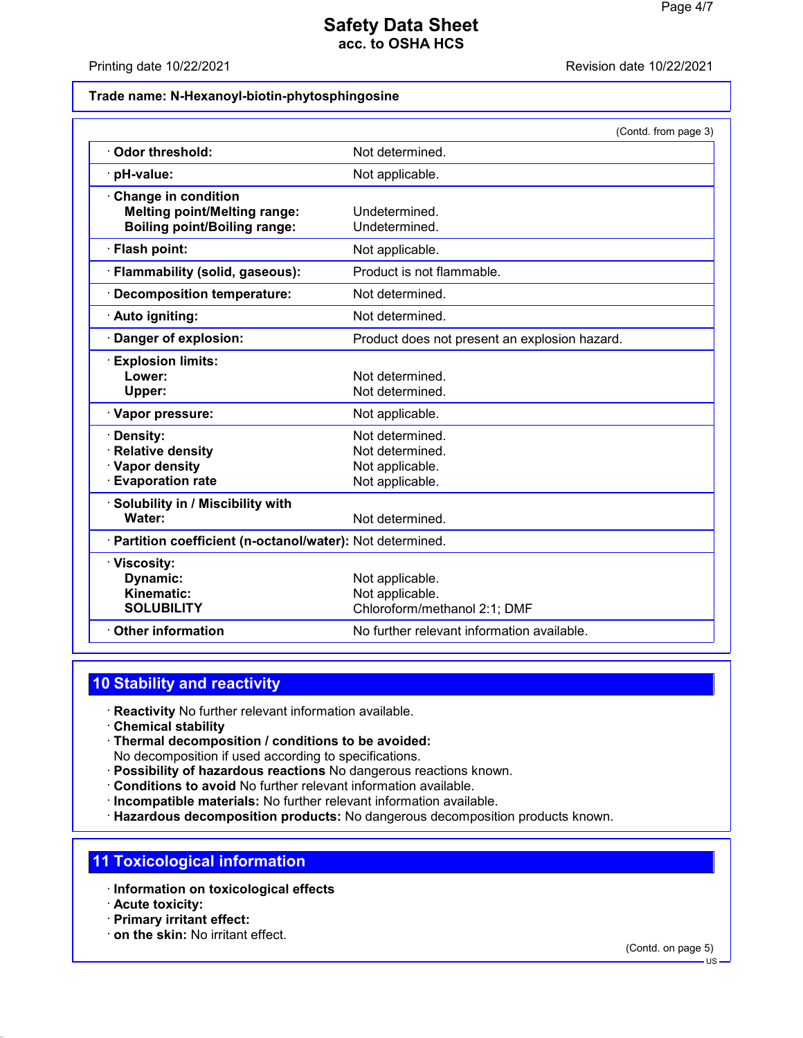#### Printing date 10/22/2021 Revision date 10/22/2021

#### **Trade name: N-Hexanoyl-biotin-phytosphingosine**

|                                                            | (Contd. from page 3)                          |
|------------------------------------------------------------|-----------------------------------------------|
| Odor threshold:                                            | Not determined.                               |
| · pH-value:                                                | Not applicable.                               |
| Change in condition                                        |                                               |
| <b>Melting point/Melting range:</b>                        | Undetermined.                                 |
| <b>Boiling point/Boiling range:</b>                        | Undetermined.                                 |
| · Flash point:                                             | Not applicable.                               |
| · Flammability (solid, gaseous):                           | Product is not flammable.                     |
| · Decomposition temperature:                               | Not determined.                               |
| · Auto igniting:                                           | Not determined.                               |
| Danger of explosion:                                       | Product does not present an explosion hazard. |
| <b>Explosion limits:</b>                                   |                                               |
| Lower:                                                     | Not determined.                               |
| Upper:                                                     | Not determined.                               |
| · Vapor pressure:                                          | Not applicable.                               |
| · Density:                                                 | Not determined.                               |
| <b>Relative density</b>                                    | Not determined.                               |
| Vapor density                                              | Not applicable.                               |
| <b>Evaporation rate</b>                                    | Not applicable.                               |
| · Solubility in / Miscibility with                         |                                               |
| Water:                                                     | Not determined.                               |
| · Partition coefficient (n-octanol/water): Not determined. |                                               |
| · Viscosity:                                               |                                               |
| Dynamic:                                                   | Not applicable.                               |
| Kinematic:                                                 | Not applicable.                               |
| <b>SOLUBILITY</b>                                          | Chloroform/methanol 2:1; DMF                  |
| Other information                                          | No further relevant information available.    |

## **10 Stability and reactivity**

- · **Reactivity** No further relevant information available.
- · **Chemical stability**
- · **Thermal decomposition / conditions to be avoided:** No decomposition if used according to specifications.
- · **Possibility of hazardous reactions** No dangerous reactions known.
- · **Conditions to avoid** No further relevant information available.
- · **Incompatible materials:** No further relevant information available.
- · **Hazardous decomposition products:** No dangerous decomposition products known.

### **11 Toxicological information**

- · **Information on toxicological effects**
- · **Acute toxicity:**
- · **Primary irritant effect:**
- · **on the skin:** No irritant effect.

(Contd. on page 5)

 $\overline{HS}$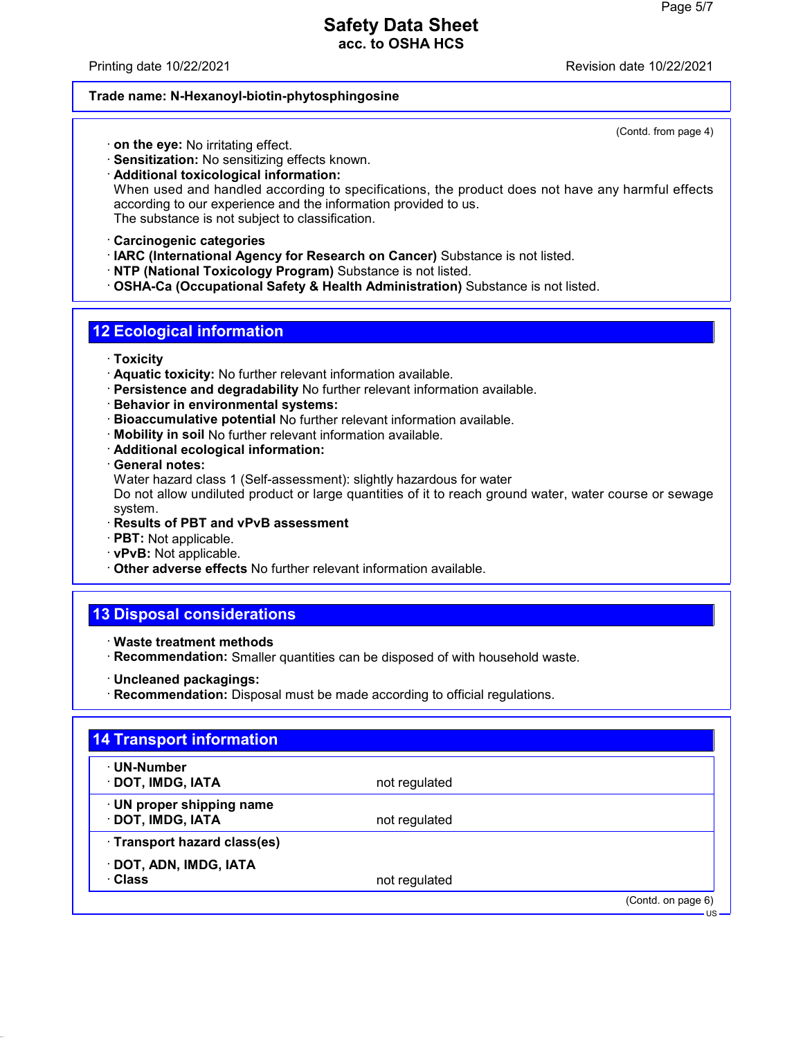Printing date 10/22/2021 Revision date 10/22/2021

(Contd. from page 4)

#### **Trade name: N-Hexanoyl-biotin-phytosphingosine**

· **on the eye:** No irritating effect.

· **Sensitization:** No sensitizing effects known.

· **Additional toxicological information:** When used and handled according to specifications, the product does not have any harmful effects according to our experience and the information provided to us. The substance is not subject to classification.

- · **Carcinogenic categories**
- · **IARC (International Agency for Research on Cancer)** Substance is not listed.
- · **NTP (National Toxicology Program)** Substance is not listed.
- · **OSHA-Ca (Occupational Safety & Health Administration)** Substance is not listed.

## **12 Ecological information**

- · **Toxicity**
- · **Aquatic toxicity:** No further relevant information available.
- · **Persistence and degradability** No further relevant information available.
- · **Behavior in environmental systems:**
- · **Bioaccumulative potential** No further relevant information available.
- · **Mobility in soil** No further relevant information available.
- · **Additional ecological information:**
- · **General notes:**
- Water hazard class 1 (Self-assessment): slightly hazardous for water

Do not allow undiluted product or large quantities of it to reach ground water, water course or sewage system.

- · **Results of PBT and vPvB assessment**
- · **PBT:** Not applicable.
- · **vPvB:** Not applicable.
- · **Other adverse effects** No further relevant information available.

# **13 Disposal considerations**

- · **Waste treatment methods**
- · **Recommendation:** Smaller quantities can be disposed of with household waste.
- · **Uncleaned packagings:**
- · **Recommendation:** Disposal must be made according to official regulations.

| · UN-Number                  |               |  |
|------------------------------|---------------|--|
| · DOT, IMDG, IATA            | not regulated |  |
| · UN proper shipping name    |               |  |
| · DOT, IMDG, IATA            | not regulated |  |
| · Transport hazard class(es) |               |  |
| · DOT, ADN, IMDG, IATA       |               |  |
| · Class                      | not regulated |  |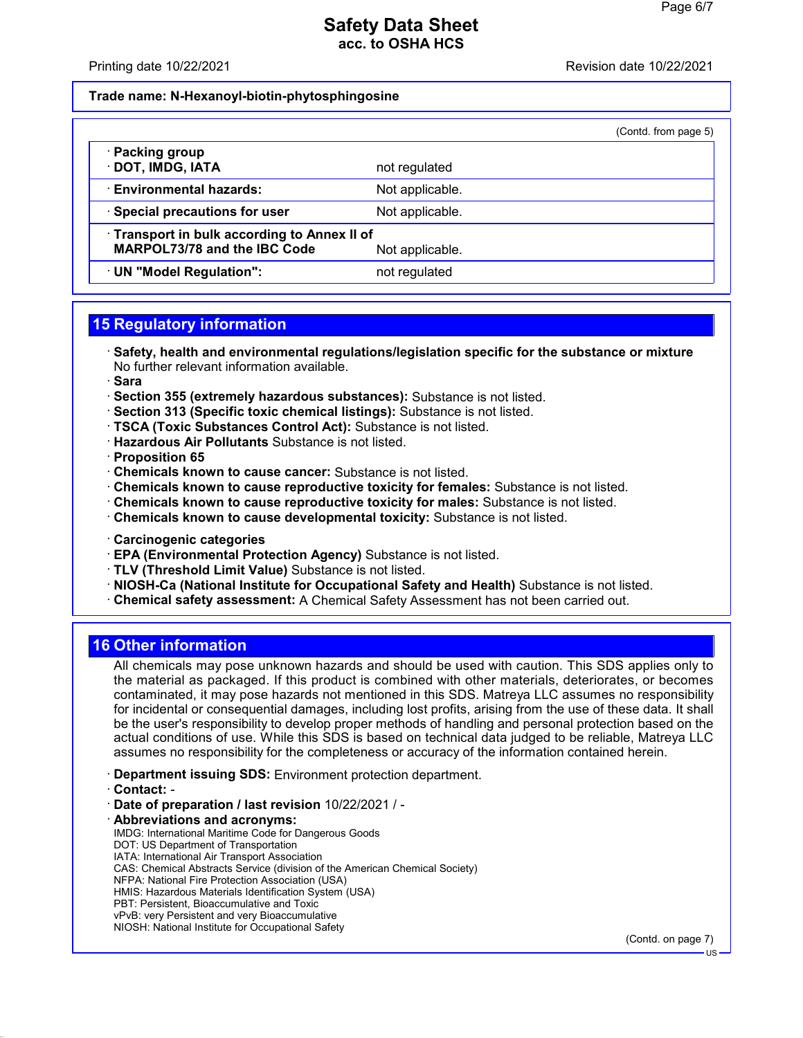#### Printing date 10/22/2021 **Printing date 10/22/2021**

#### **Trade name: N-Hexanoyl-biotin-phytosphingosine**

| (Contd. from page 5) |  |  |
|----------------------|--|--|

| · Packing group<br>· DOT, IMDG, IATA                                                          | not regulated   |
|-----------------------------------------------------------------------------------------------|-----------------|
| <b>Environmental hazards:</b>                                                                 | Not applicable. |
| · Special precautions for user                                                                | Not applicable. |
| Transport in bulk according to Annex II of<br>MARPOL73/78 and the IBC Code<br>Not applicable. |                 |
| · UN "Model Regulation":                                                                      | not regulated   |

## **15 Regulatory information**

· **Safety, health and environmental regulations/legislation specific for the substance or mixture** No further relevant information available.

· **Sara**

- · **Section 355 (extremely hazardous substances):** Substance is not listed.
- · **Section 313 (Specific toxic chemical listings):** Substance is not listed.
- · **TSCA (Toxic Substances Control Act):** Substance is not listed.
- · **Hazardous Air Pollutants** Substance is not listed.

· **Proposition 65**

- · **Chemicals known to cause cancer:** Substance is not listed.
- · **Chemicals known to cause reproductive toxicity for females:** Substance is not listed.
- · **Chemicals known to cause reproductive toxicity for males:** Substance is not listed.
- · **Chemicals known to cause developmental toxicity:** Substance is not listed.
- · **Carcinogenic categories**
- · **EPA (Environmental Protection Agency)** Substance is not listed.
- · **TLV (Threshold Limit Value)** Substance is not listed.
- · **NIOSH-Ca (National Institute for Occupational Safety and Health)** Substance is not listed.
- · **Chemical safety assessment:** A Chemical Safety Assessment has not been carried out.

### **16 Other information**

All chemicals may pose unknown hazards and should be used with caution. This SDS applies only to the material as packaged. If this product is combined with other materials, deteriorates, or becomes contaminated, it may pose hazards not mentioned in this SDS. Matreya LLC assumes no responsibility for incidental or consequential damages, including lost profits, arising from the use of these data. It shall be the user's responsibility to develop proper methods of handling and personal protection based on the actual conditions of use. While this SDS is based on technical data judged to be reliable, Matreya LLC assumes no responsibility for the completeness or accuracy of the information contained herein.

- · **Department issuing SDS:** Environment protection department.
- · **Contact:** -
- · **Date of preparation / last revision** 10/22/2021 / -
- · **Abbreviations and acronyms:** IMDG: International Maritime Code for Dangerous Goods DOT: US Department of Transportation IATA: International Air Transport Association CAS: Chemical Abstracts Service (division of the American Chemical Society) NFPA: National Fire Protection Association (USA) HMIS: Hazardous Materials Identification System (USA) PBT: Persistent, Bioaccumulative and Toxic vPvB: very Persistent and very Bioaccumulative
- NIOSH: National Institute for Occupational Safety

(Contd. on page 7)

US